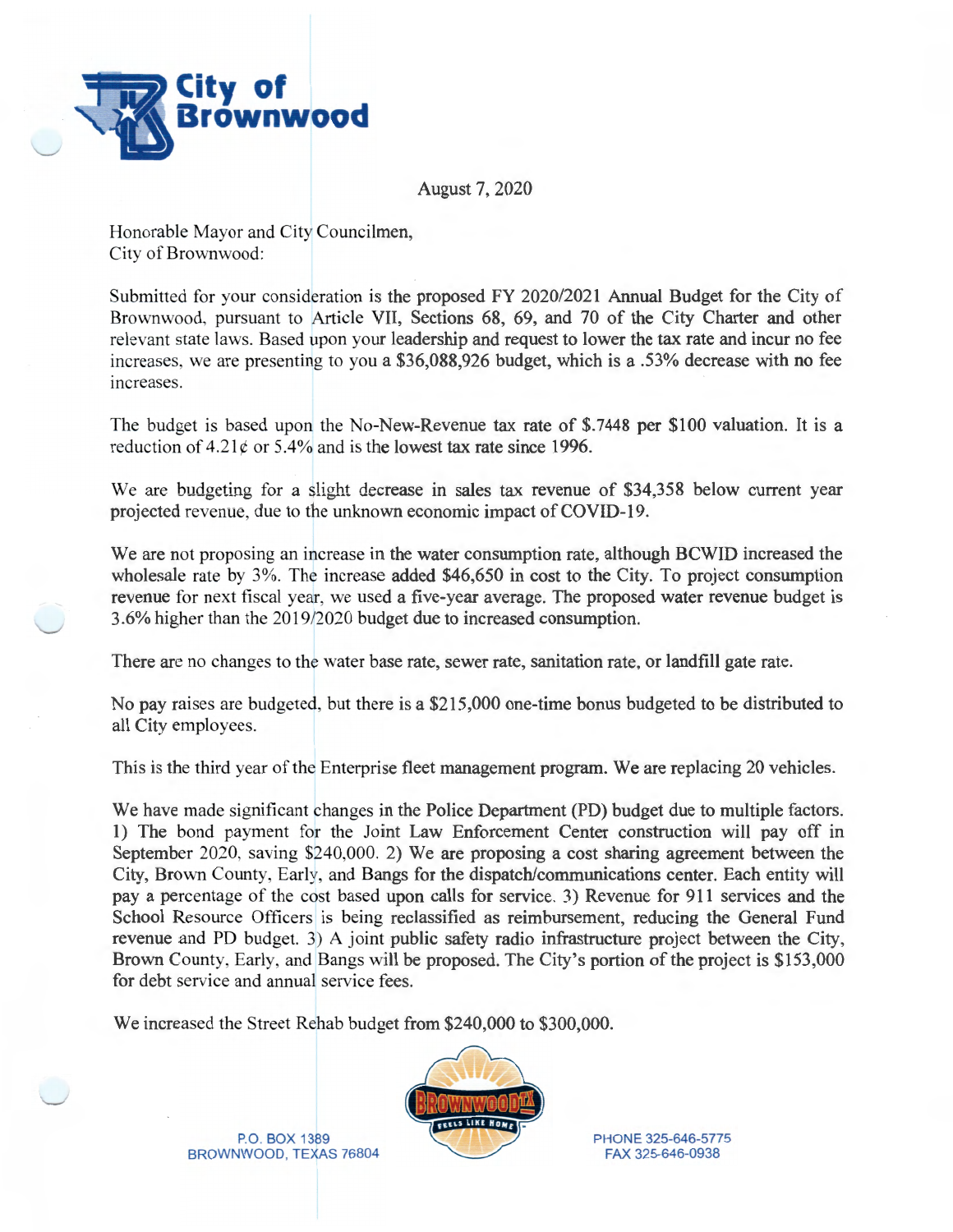

August 7, 2020

Honorable Mayor and City Councilmen, City of Brownwood:

Submitted for your consideration is the proposed FY 2020/2021 Annual Budget for the City of Brownwood, pursuant to Article VII, Sections 68, 69, and 70 of the City Charter and other relevant state laws. Based upon your leadership and request to lower the tax rate and incur no fee increases, we are presenting to you a \$36,088,926 budget, which is a .53% decrease with no fee mcreases.

The budget is based upon the No-New-Revenue tax rate of \$.7448 per \$100 valuation. It is a reduction of  $4.21 \text{e}$  or  $5.4\%$  and is the lowest tax rate since 1996.

We are budgeting for a slight decrease in sales tax revenue of \$34,358 below current year projected revenue, due to the unknown economic impact of COVID-19.

We are not proposing an increase in the water consumption rate, although BCWID increased the wholesale rate by 3%. The increase added \$46,650 in cost to the City. To project consumption revenue for next fiscal year, we used a five-year average. The proposed water revenue budget is 3 .6% higher than the 2019/2020 budget due to increased consumption.

There are no changes to the water base rate, sewer rate, sanitation rate, or landfill gate rate.

No pay raises are budgeted, but there is a \$215,000 one-time bonus budgeted to be distributed to all City employees.

This is the third year of the Enterprise fleet management program. We are replacing 20 vehicles.

We have made significant changes in the Police Department (PD) budget due to multiple factors. 1) The bond payment for the Joint Law Enforcement Center construction will pay off in September 2020, saving \$240,000. 2) We are proposing a cost sharing agreement between the City, Brown County, Early, and Bangs for the dispatch/communications center. Each entity will pay a percentage of the cost based upon calls for service. 3) Revenue for 911 services and the School Resource Officers is being reclassified as reimbursement, reducing the General Fund revenue and PD budget. 3) A joint public safety radio infrastructure project between the City, Brown County, Early, and Bangs will be proposed. The City's portion of the project is \$153,000 for debt service and annual service fees.

We increased the Street Rehab budget from \$240,000 to \$300,000.



P.O. BOX 1389 BROWNWOOD, TEXAS 76804 PHONE 325-646-5775 FAX 325-646-0938